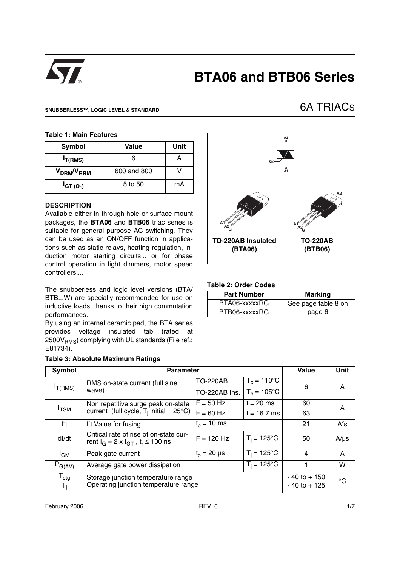

# **BTA06 and BTB06 Series**

#### **SNUBBERLESS™, LOGIC LEVEL & STANDARD**

# 6A TRIACS

#### **Table 1: Main Features**

| Symbol                             | Value       | Unit |  |  |
|------------------------------------|-------------|------|--|--|
| $I_{T(RMS)}$                       | ค           |      |  |  |
| V <sub>DRM</sub> /V <sub>RRM</sub> | 600 and 800 |      |  |  |
| $I_{GT(Q_1)}$                      | 5 to 50     | mA   |  |  |

## **DESCRIPTION**

Available either in through-hole or surface-mount packages, the **BTA06** and **BTB06** triac series is suitable for general purpose AC switching. They can be used as an ON/OFF function in applications such as static relays, heating regulation, induction motor starting circuits... or for phase control operation in light dimmers, motor speed controllers,...

The snubberless and logic level versions (BTA/ BTB...W) are specially recommended for use on inductive loads, thanks to their high commutation performances.

By using an internal ceramic pad, the BTA series provides voltage insulated tab (rated at  $2500V<sub>RMS</sub>$ ) complying with UL standards (File ref.: E81734).

|  |  | Table 3: Absolute Maximum Ratings |  |
|--|--|-----------------------------------|--|
|--|--|-----------------------------------|--|



#### **Table 2: Order Codes**

| <b>Part Number</b> | <b>Marking</b>      |
|--------------------|---------------------|
| BTA06-xxxxxRG      | See page table 8 on |
| BTB06-xxxxxRG      | page 6              |

| <b>Symbol</b>          | <b>Parameter</b>                                                                          | Value                                    | <b>Unit</b>           |    |           |
|------------------------|-------------------------------------------------------------------------------------------|------------------------------------------|-----------------------|----|-----------|
|                        | RMS on-state current (full sine                                                           | $T_c = 110^{\circ}$ C<br><b>TO-220AB</b> |                       | 6  | A         |
| $I_{T(RMS)}$           | wave)                                                                                     | TO-220AB Ins.                            | $T_c = 105$ °C        |    |           |
| $I_{\text{TSM}}$       | Non repetitive surge peak on-state                                                        | $F = 50$ Hz                              | $t = 20$ ms           | 60 | A         |
|                        | current (full cycle, $T_i$ initial = 25°C) $\uparrow$                                     | $F = 60$ Hz                              | $t = 16.7$ ms         | 63 |           |
| $l^2t$                 | I <sup>2</sup> t Value for fusing                                                         | $t_{p}$ = 10 ms                          |                       | 21 | $A^2s$    |
| dl/dt                  | Critical rate of rise of on-state cur-<br>rent $I_G = 2 \times I_{GT}$ , $t_r \le 100$ ns | $F = 120$ Hz                             | $T_i = 125^{\circ}$ C | 50 | $A/\mu s$ |
| <sup>I</sup> GM        | Peak gate current                                                                         | $t_{p} = 20 \mu s$                       | $T_i = 125^{\circ}C$  | 4  | A         |
| $P_{G(AV)}$            | Average gate power dissipation                                                            |                                          | W                     |    |           |
| $T_{\text{stg}}$<br>T, | Storage junction temperature range<br>Operating junction temperature range                | $-40$ to $+150$<br>$-40$ to $+125$       | °C                    |    |           |

February 2006 **REV. 6**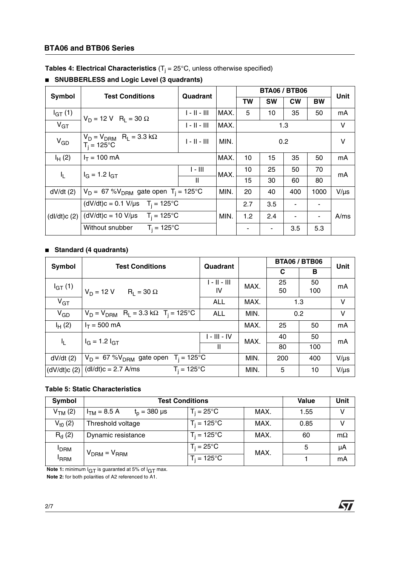# **BTA06 and BTB06 Series**

**Tables 4: Electrical Characteristics** (T<sub>j</sub> = 25°C, unless otherwise specified)

|             | Symbol<br><b>Test Conditions</b><br>Quadrant                      |                                       |      |           | <b>BTA06 / BTB06</b> |                          |           | Unit      |
|-------------|-------------------------------------------------------------------|---------------------------------------|------|-----------|----------------------|--------------------------|-----------|-----------|
|             |                                                                   |                                       |      | <b>TW</b> | <b>SW</b>            | <b>CW</b>                | <b>BW</b> |           |
| $I_{GT}(1)$ | $V_D = 12 V R_1 = 30 \Omega$                                      | $1 - 11 - 111$                        | MAX. | 5         | 10                   | 35                       | 50        | mA        |
| $V_{GT}$    |                                                                   | $1 - 11 - 111$                        | MAX. |           |                      | 1.3                      |           | V         |
| $V_{GD}$    | $V_D = V_{DRM}$ R <sub>L</sub> = 3.3 k $\Omega$<br>$T_i = 125$ °C | $   -    -      $                     | MIN. |           |                      | 0.2                      |           | V         |
| $I_{H}$ (2) | $I_T = 100$ mA                                                    |                                       | MAX. | 10        | 15                   | 35                       | 50        | mA        |
| $I_{L}$     | $I_G = 1.2 I_{GT}$                                                | $\parallel$ - $\parallel$ $\parallel$ | MAX. | 10        | 25                   | 50                       | 70        | mA        |
|             |                                                                   | $\mathbf{H}$                          |      | 15        | 30                   | 60                       | 80        |           |
| $dV/dt$ (2) | $V_D = 67 \text{ %}V_{DRM}$ gate open T <sub>i</sub> = 125°C      |                                       | MIN. | 20        | 40                   | 400                      | 1000      | $V/\mu s$ |
|             | $(dV/dt)$ c = 0.1 V/µs T <sub>i</sub> = 125°C                     |                                       |      | 2.7       | 3.5                  |                          |           |           |
| (dI/dt)c(2) | $(dV/dt)c = 10 V/\mu s$ T <sub>i</sub> = 125°C                    |                                       | MIN. | 1.2       | 2.4                  | $\overline{\phantom{a}}$ |           | A/ms      |
|             | $T_i = 125^{\circ}C$<br>Without snubber                           |                                       |      |           |                      | 3.5                      | 5.3       |           |

# ■ **SNUBBERLESS** and Logic Level (3 quadrants)

#### ■ **Standard (4 quadrants)**

| Symbol      | <b>Test Conditions</b>                                                 | Quadrant       |      | <b>BTA06 / BTB06</b> |     |           |
|-------------|------------------------------------------------------------------------|----------------|------|----------------------|-----|-----------|
|             |                                                                        |                |      | С                    | в   | Unit      |
| $I_{GT}(1)$ |                                                                        | $1 - 11 - 111$ | MAX. | 25                   | 50  | mA        |
|             | $V_D = 12 V$ R <sub>1</sub> = 30 $\Omega$                              | IV.            |      | 50                   | 100 |           |
| $V_{GT}$    |                                                                        | <b>ALL</b>     | MAX. |                      | 1.3 | V         |
| $V_{GD}$    | $V_D = V_{DRM}$ R <sub>L</sub> = 3.3 k $\Omega$ T <sub>i</sub> = 125°C | <b>ALL</b>     | MIN. |                      | 0.2 | V         |
| $I_{H}$ (2) | $I_T = 500$ mA                                                         |                | MAX. | 25                   | 50  | mA        |
| Τ,          | $I_G = 1.2 I_{GT}$                                                     | 1 - III - IV   | MAX. | 40                   | 50  | mA        |
|             |                                                                        | $\mathbf{I}$   |      | 80                   | 100 |           |
| $dV/dt$ (2) | $V_D = 67 %V_{DRM}$ gate open T <sub>i</sub> = 125°C                   |                | MIN. | 200                  | 400 | $V/\mu s$ |
| (dV/dt)c(2) | $(dI/dt)c = 2.7$ A/ms<br>$T_i = 125$ °C                                |                | MIN. | 5                    | 10  | $V/\mu s$ |

#### **Table 5: Static Characteristics**

| Symbol              | <b>Test Conditions</b>                                |                      |      | Value | <b>Unit</b> |
|---------------------|-------------------------------------------------------|----------------------|------|-------|-------------|
| V <sub>TM</sub> (2) | $I_{TM}$ = 8.5 A<br>$t_{p} = 380 \text{ }\mu\text{s}$ | $T_i = 25^{\circ}C$  | MAX. | 1.55  | v           |
| $V_{10}$ (2)        | Threshold voltage                                     | $T_i = 125^{\circ}C$ | MAX. | 0.85  |             |
| $R_{d}$ (2)         | Dynamic resistance                                    | $T_i = 125^{\circ}C$ | MAX. | 60    | $m\Omega$   |
| <b>PDRM</b>         | $V_{DRM} = V_{RRM}$                                   | $T_i = 25^{\circ}$ C | MAX. | 5     | μA          |
| <sup>I</sup> RRM    |                                                       | $T_i = 125^{\circ}C$ |      |       | mA          |

勾

**Note 1:** minimum I<sub>GT</sub> is guaranted at 5% of I<sub>GT</sub> max.

**Note 2:** for both polarities of A2 referenced to A1.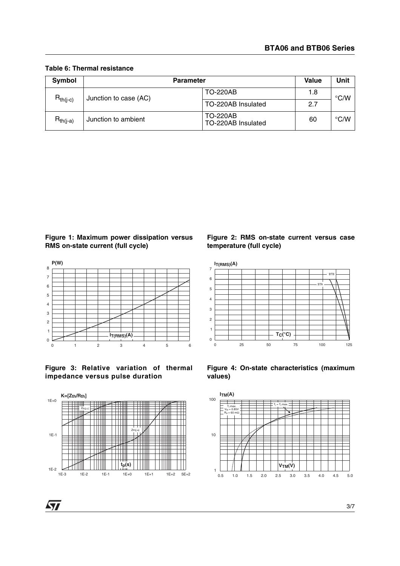| Symbol        | <b>Parameter</b>      |                                       |     | Unit               |
|---------------|-----------------------|---------------------------------------|-----|--------------------|
|               | Junction to case (AC) | <b>TO-220AB</b>                       | 1.8 | $\degree$ C/W      |
| $R_{th(i-c)}$ |                       | TO-220AB Insulated                    | 2.7 |                    |
| $R_{th(i-a)}$ | Junction to ambient   | <b>TO-220AB</b><br>TO-220AB Insulated | 60  | $\rm ^{\circ}$ C/W |

#### **Table 6: Thermal resistance**









 $\sqrt{27}$ 

#### **Figure 2: RMS on-state current versus case temperature (full cycle)**





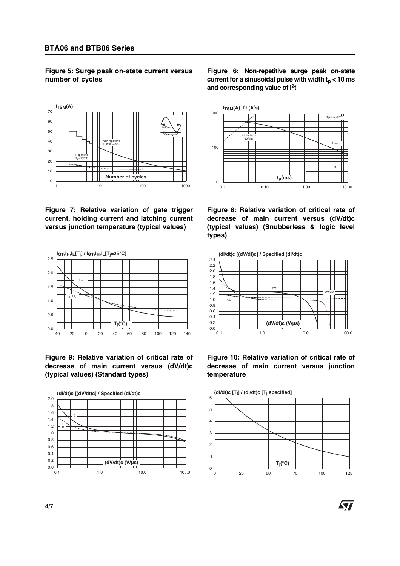**Figure 5: Surge peak on-state current versus number of cycles**



**Figure 7: Relative variation of gate trigger current, holding current and latching current versus junction temperature (typical values)**



**Figure 9: Relative variation of critical rate of decrease of main current versus (dV/dt)c (typical values) (Standard types)**



**Figure 6: Non-repetitive surge peak on-state** current for a sinusoidal pulse with width  $t<sub>n</sub> < 10$  ms **and corresponding value of I2t**



**Figure 8: Relative variation of critical rate of decrease of main current versus (dV/dt)c (typical values) (Snubberless & logic level types)**



**Figure 10: Relative variation of critical rate of decrease of main current versus junction temperature**



**AV**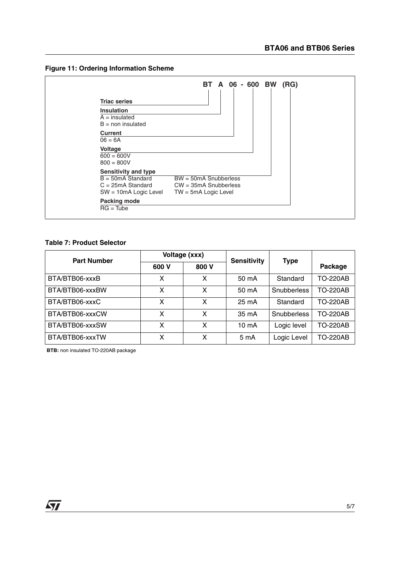



### **Table 7: Product Selector**

| <b>Part Number</b> |       | Voltage (xxx) | <b>Sensitivity</b> | <b>Type</b> |                 |
|--------------------|-------|---------------|--------------------|-------------|-----------------|
|                    | 600 V | 800 V         |                    |             | Package         |
| BTA/BTB06-xxxB     | x     | X             | 50 mA              | Standard    | <b>TO-220AB</b> |
| BTA/BTB06-xxxBW    | x     | x             | 50 mA              | Snubberless | <b>TO-220AB</b> |
| BTA/BTB06-xxxC     | χ     | X             | $25 \text{ mA}$    | Standard    | <b>TO-220AB</b> |
| BTA/BTB06-xxxCW    | x     | X             | 35 mA              | Snubberless | <b>TO-220AB</b> |
| BTA/BTB06-xxxSW    | x     | X             | $10 \text{ mA}$    | Logic level | <b>TO-220AB</b> |
| BTA/BTB06-xxxTW    | χ     | X             | 5 mA               | Logic Level | <b>TO-220AB</b> |

**BTB:** non insulated TO-220AB package

 $\sqrt{27}$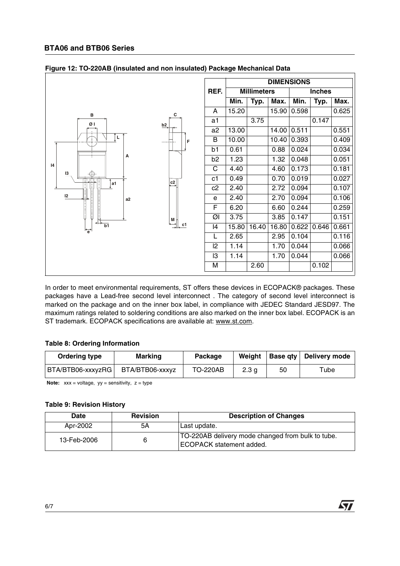|                      |                |                | <b>DIMENSIONS</b> |                    |       |       |               |       |
|----------------------|----------------|----------------|-------------------|--------------------|-------|-------|---------------|-------|
|                      |                | REF.           |                   | <b>Millimeters</b> |       |       | <b>Inches</b> |       |
|                      |                |                | Min.              | Typ.               | Max.  | Min.  | Typ.          | Max.  |
| в                    | С              | A              | 15.20             |                    | 15.90 | 0.598 |               | 0.625 |
| ØΙ                   | b2             | a <sub>1</sub> |                   | 3.75               |       |       | 0.147         |       |
|                      |                | a2             | 13.00             |                    | 14.00 | 0.511 |               | 0.551 |
| L                    | F              | B              | 10.00             |                    | 10.40 | 0.393 |               | 0.409 |
|                      |                | b1             | 0.61              |                    | 0.88  | 0.024 |               | 0.034 |
| А                    |                | b <sub>2</sub> | 1.23              |                    | 1.32  | 0.048 |               | 0.051 |
| 4<br>13              |                | C              | 4.40              |                    | 4.60  | 0.173 |               | 0.181 |
| a1                   | $\frac{c2}{1}$ | c1             | 0.49              |                    | 0.70  | 0.019 |               | 0.027 |
|                      |                | c2             | 2.40              |                    | 2.72  | 0.094 |               | 0.107 |
| 12<br>a <sub>2</sub> |                | e              | 2.40              |                    | 2.70  | 0.094 |               | 0.106 |
|                      |                | F              | 6.20              |                    | 6.60  | 0.244 |               | 0.259 |
|                      | M              | ØI             | 3.75              |                    | 3.85  | 0.147 |               | 0.151 |
| b1<br>۳è             | c1             | 4              | 15.80             | 16.40              | 16.80 | 0.622 | 0.646         | 0.661 |
|                      |                | L              | 2.65              |                    | 2.95  | 0.104 |               | 0.116 |
|                      |                | 2              | 1.14              |                    | 1.70  | 0.044 |               | 0.066 |
|                      |                | I3             | 1.14              |                    | 1.70  | 0.044 |               | 0.066 |
|                      |                | М              |                   | 2.60               |       |       | 0.102         |       |

| Figure 12: TO-220AB (insulated and non insulated) Package Mechanical Data |  |  |
|---------------------------------------------------------------------------|--|--|
|                                                                           |  |  |
|                                                                           |  |  |
|                                                                           |  |  |

In order to meet environmental requirements, ST offers these devices in ECOPACK® packages. These packages have a Lead-free second level interconnect . The category of second level interconnect is marked on the package and on the inner box label, in compliance with JEDEC Standard JESD97. The maximum ratings related to soldering conditions are also marked on the inner box label. ECOPACK is an ST trademark. ECOPACK specifications are available at: www.st.com.

#### **Table 8: Ordering Information**

| Ordering type     | <b>Marking</b>  |                 | Weight           |    | <b>Base qty Delivery mode</b> |  |
|-------------------|-----------------|-----------------|------------------|----|-------------------------------|--|
| BTA/BTB06-xxxyzRG | BTA/BTB06-xxxyz | <b>TO-220AB</b> | 2.3 <sub>g</sub> | 50 | ™ube                          |  |

**Note:**  $xxx = voltage$ ,  $yy = sensitivity$ ,  $z = type$ 

# **Table 9: Revision History**

| Date        | <b>Revision</b> | <b>Description of Changes</b>                                                 |
|-------------|-----------------|-------------------------------------------------------------------------------|
| Apr-2002    | 5A              | Last update.                                                                  |
| 13-Feb-2006 | 6               | TO-220AB delivery mode changed from bulk to tube.<br>ECOPACK statement added. |

 $\sqrt{2}$